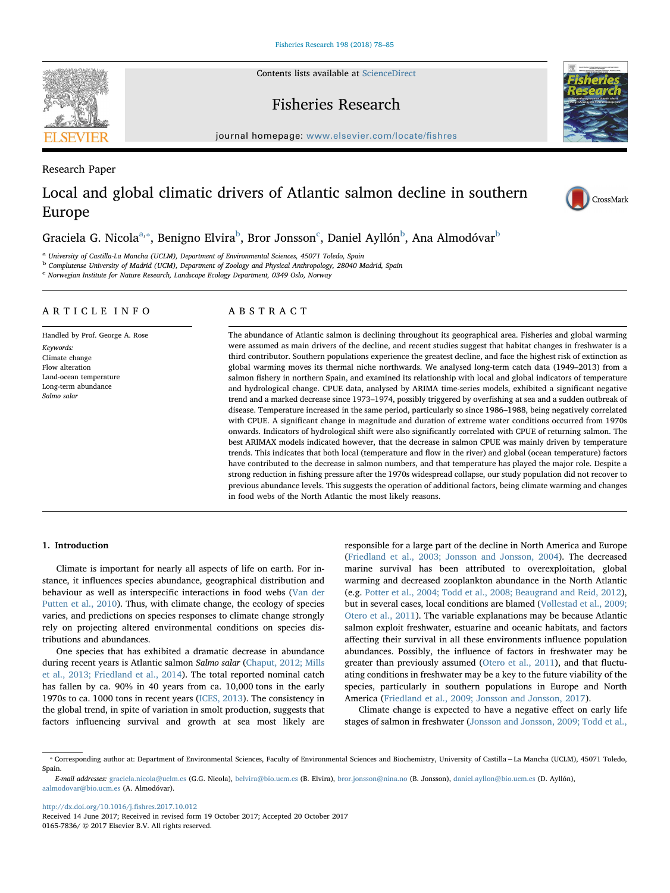Contents lists available at [ScienceDirect](http://www.sciencedirect.com/science/journal/01657836)

# Fisheries Research

journal homepage: [www.elsevier.com/locate/](https://www.elsevier.com/locate/fishres)fishres

Research Paper

# Local and global climatic drivers of Atlantic salmon decline in southern Europe

# Gra[c](#page-0-3)iela G. Nicola $\mathrm{^{a,*}}$  $\mathrm{^{a,*}}$  $\mathrm{^{a,*}}$ , Benigno Elvira $\mathrm{^{b}}$  $\mathrm{^{b}}$  $\mathrm{^{b}}$ , Bror Jonsson $\mathrm{^{c}}$ , Daniel Ayllón $\mathrm{^{b}}$ , Ana Almodóvar $\mathrm{^{b}}$

<span id="page-0-0"></span><sup>a</sup> University of Castilla-La Mancha (UCLM), Department of Environmental Sciences, 45071 Toledo, Spain

<span id="page-0-2"></span><sup>b</sup> Complutense University of Madrid (UCM), Department of Zoology and Physical Anthropology, 28040 Madrid, Spain

<span id="page-0-3"></span><sup>c</sup> Norwegian Institute for Nature Research, Landscape Ecology Department, 0349 Oslo, Norway

# ARTICLE INFO

Handled by Prof. George A. Rose Keywords: Climate change Flow alteration Land-ocean temperature Long-term abundance Salmo salar

# ABSTRACT

The abundance of Atlantic salmon is declining throughout its geographical area. Fisheries and global warming were assumed as main drivers of the decline, and recent studies suggest that habitat changes in freshwater is a third contributor. Southern populations experience the greatest decline, and face the highest risk of extinction as global warming moves its thermal niche northwards. We analysed long-term catch data (1949–2013) from a salmon fishery in northern Spain, and examined its relationship with local and global indicators of temperature and hydrological change. CPUE data, analysed by ARIMA time-series models, exhibited a significant negative trend and a marked decrease since 1973–1974, possibly triggered by overfishing at sea and a sudden outbreak of disease. Temperature increased in the same period, particularly so since 1986–1988, being negatively correlated with CPUE. A significant change in magnitude and duration of extreme water conditions occurred from 1970s onwards. Indicators of hydrological shift were also significantly correlated with CPUE of returning salmon. The best ARIMAX models indicated however, that the decrease in salmon CPUE was mainly driven by temperature trends. This indicates that both local (temperature and flow in the river) and global (ocean temperature) factors have contributed to the decrease in salmon numbers, and that temperature has played the major role. Despite a strong reduction in fishing pressure after the 1970s widespread collapse, our study population did not recover to previous abundance levels. This suggests the operation of additional factors, being climate warming and changes in food webs of the North Atlantic the most likely reasons.

## 1. Introduction

Climate is important for nearly all aspects of life on earth. For instance, it influences species abundance, geographical distribution and behaviour as well as interspecific interactions in food webs ([Van der](#page-7-0) [Putten et al., 2010\)](#page-7-0). Thus, with climate change, the ecology of species varies, and predictions on species responses to climate change strongly rely on projecting altered environmental conditions on species distributions and abundances.

One species that has exhibited a dramatic decrease in abundance during recent years is Atlantic salmon Salmo salar ([Chaput, 2012; Mills](#page-5-0) [et al., 2013; Friedland et al., 2014\)](#page-5-0). The total reported nominal catch has fallen by ca. 90% in 40 years from ca. 10,000 tons in the early 1970s to ca. 1000 tons in recent years [\(ICES, 2013](#page-6-0)). The consistency in the global trend, in spite of variation in smolt production, suggests that factors influencing survival and growth at sea most likely are responsible for a large part of the decline in North America and Europe ([Friedland et al., 2003; Jonsson and Jonsson, 2004\)](#page-5-1). The decreased marine survival has been attributed to overexploitation, global warming and decreased zooplankton abundance in the North Atlantic (e.g. [Potter et al., 2004; Todd et al., 2008; Beaugrand and Reid, 2012](#page-6-1)), but in several cases, local conditions are blamed ([Vøllestad et al., 2009;](#page-7-1) [Otero et al., 2011](#page-7-1)). The variable explanations may be because Atlantic salmon exploit freshwater, estuarine and oceanic habitats, and factors affecting their survival in all these environments influence population abundances. Possibly, the influence of factors in freshwater may be greater than previously assumed [\(Otero et al., 2011](#page-6-2)), and that fluctuating conditions in freshwater may be a key to the future viability of the species, particularly in southern populations in Europe and North America ([Friedland et al., 2009; Jonsson and Jonsson, 2017\)](#page-5-2).

Climate change is expected to have a negative effect on early life stages of salmon in freshwater ([Jonsson and Jonsson, 2009; Todd et al.,](#page-6-3)

[http://dx.doi.org/10.1016/j.](http://dx.doi.org/10.1016/j.fishres.2017.10.012)fishres.2017.10.012

Received 14 June 2017; Received in revised form 19 October 2017; Accepted 20 October 2017 0165-7836/ © 2017 Elsevier B.V. All rights reserved.





CrossMark

<span id="page-0-1"></span><sup>⁎</sup> Corresponding author at: Department of Environmental Sciences, Faculty of Environmental Sciences and Biochemistry, University of Castilla−La Mancha (UCLM), 45071 Toledo, Spain.

E-mail addresses: [graciela.nicola@uclm.es](mailto:graciela.nicola@uclm.es) (G.G. Nicola), [belvira@bio.ucm.es](mailto:belvira@bio.ucm.es) (B. Elvira), [bror.jonsson@nina.no](mailto:bror.jonsson@nina.no) (B. Jonsson), [daniel.ayllon@bio.ucm.es](mailto:daniel.ayllon@bio.ucm.es) (D. Ayllón), [aalmodovar@bio.ucm.es](mailto:aalmodovar@bio.ucm.es) (A. Almodóvar).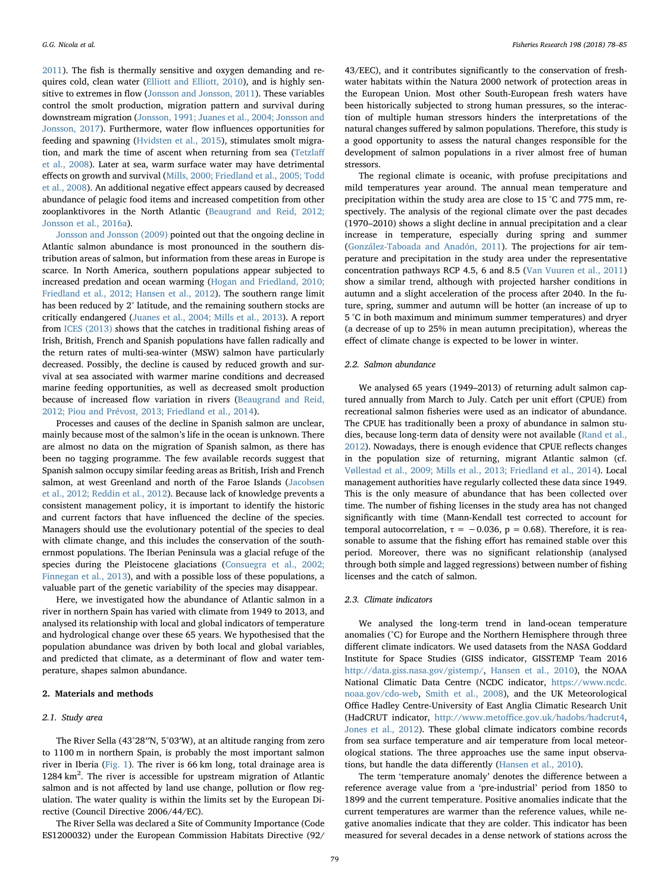[2011\)](#page-6-3). The fish is thermally sensitive and oxygen demanding and re-quires cold, clean water [\(Elliott and Elliott, 2010\)](#page-5-3), and is highly sensitive to extremes in flow [\(Jonsson and Jonsson, 2011\)](#page-6-4). These variables control the smolt production, migration pattern and survival during downstream migration [\(Jonsson, 1991; Juanes et al., 2004; Jonsson and](#page-6-5) [Jonsson, 2017\)](#page-6-5). Furthermore, water flow influences opportunities for feeding and spawning ([Hvidsten et al., 2015\)](#page-6-6), stimulates smolt migration, and mark the time of ascent when returning from sea ([Tetzla](#page-6-7)ff [et al., 2008](#page-6-7)). Later at sea, warm surface water may have detrimental effects on growth and survival ([Mills, 2000; Friedland et al., 2005; Todd](#page-6-8) [et al., 2008](#page-6-8)). An additional negative effect appears caused by decreased abundance of pelagic food items and increased competition from other zooplanktivores in the North Atlantic ([Beaugrand and Reid, 2012;](#page-5-4) [Jonsson et al., 2016a\)](#page-5-4).

[Jonsson and Jonsson \(2009\)](#page-6-3) pointed out that the ongoing decline in Atlantic salmon abundance is most pronounced in the southern distribution areas of salmon, but information from these areas in Europe is scarce. In North America, southern populations appear subjected to increased predation and ocean warming ([Hogan and Friedland, 2010;](#page-6-9) [Friedland et al., 2012; Hansen et al., 2012](#page-6-9)). The southern range limit has been reduced by 2° latitude, and the remaining southern stocks are critically endangered [\(Juanes et al., 2004; Mills et al., 2013](#page-6-10)). A report from [ICES \(2013\)](#page-6-0) shows that the catches in traditional fishing areas of Irish, British, French and Spanish populations have fallen radically and the return rates of multi-sea-winter (MSW) salmon have particularly decreased. Possibly, the decline is caused by reduced growth and survival at sea associated with warmer marine conditions and decreased marine feeding opportunities, as well as decreased smolt production because of increased flow variation in rivers ([Beaugrand and Reid,](#page-5-4) [2012; Piou and Prévost, 2013; Friedland et al., 2014\)](#page-5-4).

Processes and causes of the decline in Spanish salmon are unclear, mainly because most of the salmon's life in the ocean is unknown. There are almost no data on the migration of Spanish salmon, as there has been no tagging programme. The few available records suggest that Spanish salmon occupy similar feeding areas as British, Irish and French salmon, at west Greenland and north of the Faroe Islands ([Jacobsen](#page-6-11) [et al., 2012; Reddin et al., 2012\)](#page-6-11). Because lack of knowledge prevents a consistent management policy, it is important to identify the historic and current factors that have influenced the decline of the species. Managers should use the evolutionary potential of the species to deal with climate change, and this includes the conservation of the southernmost populations. The Iberian Peninsula was a glacial refuge of the species during the Pleistocene glaciations [\(Consuegra et al., 2002;](#page-5-5) [Finnegan et al., 2013](#page-5-5)), and with a possible loss of these populations, a valuable part of the genetic variability of the species may disappear.

Here, we investigated how the abundance of Atlantic salmon in a river in northern Spain has varied with climate from 1949 to 2013, and analysed its relationship with local and global indicators of temperature and hydrological change over these 65 years. We hypothesised that the population abundance was driven by both local and global variables, and predicted that climate, as a determinant of flow and water temperature, shapes salmon abundance.

## 2. Materials and methods

# 2.1. Study area

The River Sella (43°28′′N, 5°03′W), at an altitude ranging from zero to 1100 m in northern Spain, is probably the most important salmon river in Iberia ([Fig. 1](#page-2-0)). The river is 66 km long, total drainage area is  $1284 \text{ km}^2$ . The river is accessible for upstream migration of Atlantic salmon and is not affected by land use change, pollution or flow regulation. The water quality is within the limits set by the European Directive (Council Directive 2006/44/EC).

The River Sella was declared a Site of Community Importance (Code ES1200032) under the European Commission Habitats Directive (92/

43/EEC), and it contributes significantly to the conservation of freshwater habitats within the Natura 2000 network of protection areas in the European Union. Most other South-European fresh waters have been historically subjected to strong human pressures, so the interaction of multiple human stressors hinders the interpretations of the natural changes suffered by salmon populations. Therefore, this study is a good opportunity to assess the natural changes responsible for the development of salmon populations in a river almost free of human stressors.

The regional climate is oceanic, with profuse precipitations and mild temperatures year around. The annual mean temperature and precipitation within the study area are close to 15 °C and 775 mm, respectively. The analysis of the regional climate over the past decades (1970–2010) shows a slight decline in annual precipitation and a clear increase in temperature, especially during spring and summer ([González-Taboada and Anadón, 2011](#page-6-12)). The projections for air temperature and precipitation in the study area under the representative concentration pathways RCP 4.5, 6 and 8.5 [\(Van Vuuren et al., 2011\)](#page-7-2) show a similar trend, although with projected harsher conditions in autumn and a slight acceleration of the process after 2040. In the future, spring, summer and autumn will be hotter (an increase of up to 5 °C in both maximum and minimum summer temperatures) and dryer (a decrease of up to 25% in mean autumn precipitation), whereas the effect of climate change is expected to be lower in winter.

### 2.2. Salmon abundance

We analysed 65 years (1949–2013) of returning adult salmon captured annually from March to July. Catch per unit effort (CPUE) from recreational salmon fisheries were used as an indicator of abundance. The CPUE has traditionally been a proxy of abundance in salmon studies, because long-term data of density were not available [\(Rand et al.,](#page-6-13) [2012\)](#page-6-13). Nowadays, there is enough evidence that CPUE reflects changes in the population size of returning, migrant Atlantic salmon (cf. [Vøllestad et al., 2009; Mills et al., 2013; Friedland et al., 2014\)](#page-7-1). Local management authorities have regularly collected these data since 1949. This is the only measure of abundance that has been collected over time. The number of fishing licenses in the study area has not changed significantly with time (Mann-Kendall test corrected to account for temporal autocorrelation,  $\tau = -0.036$ ,  $p = 0.68$ ). Therefore, it is reasonable to assume that the fishing effort has remained stable over this period. Moreover, there was no significant relationship (analysed through both simple and lagged regressions) between number of fishing licenses and the catch of salmon.

## 2.3. Climate indicators

We analysed the long-term trend in land-ocean temperature anomalies (°C) for Europe and the Northern Hemisphere through three different climate indicators. We used datasets from the NASA Goddard Institute for Space Studies (GISS indicator, GISSTEMP Team 2016 <http://data.giss.nasa.gov/gistemp/>, [Hansen et al., 2010\)](#page-6-14), the NOAA National Climatic Data Centre (NCDC indicator, [https://www.ncdc.](https://www.ncdc.noaa.gov/cdo-web) [noaa.gov/cdo-web](https://www.ncdc.noaa.gov/cdo-web), Smith [et al., 2008\)](#page-6-15), and the UK Meteorological Office Hadley Centre-University of East Anglia Climatic Research Unit (HadCRUT indicator, http://www.metoffi[ce.gov.uk/hadobs/hadcrut4](http://www.metoffice.gov.uk/hadobs/hadcrut4), [Jones et al., 2012](#page-6-16)). These global climate indicators combine records from sea surface temperature and air temperature from local meteorological stations. The three approaches use the same input observations, but handle the data differently ([Hansen et al., 2010](#page-6-14)).

The term 'temperature anomaly' denotes the difference between a reference average value from a 'pre-industrial' period from 1850 to 1899 and the current temperature. Positive anomalies indicate that the current temperatures are warmer than the reference values, while negative anomalies indicate that they are colder. This indicator has been measured for several decades in a dense network of stations across the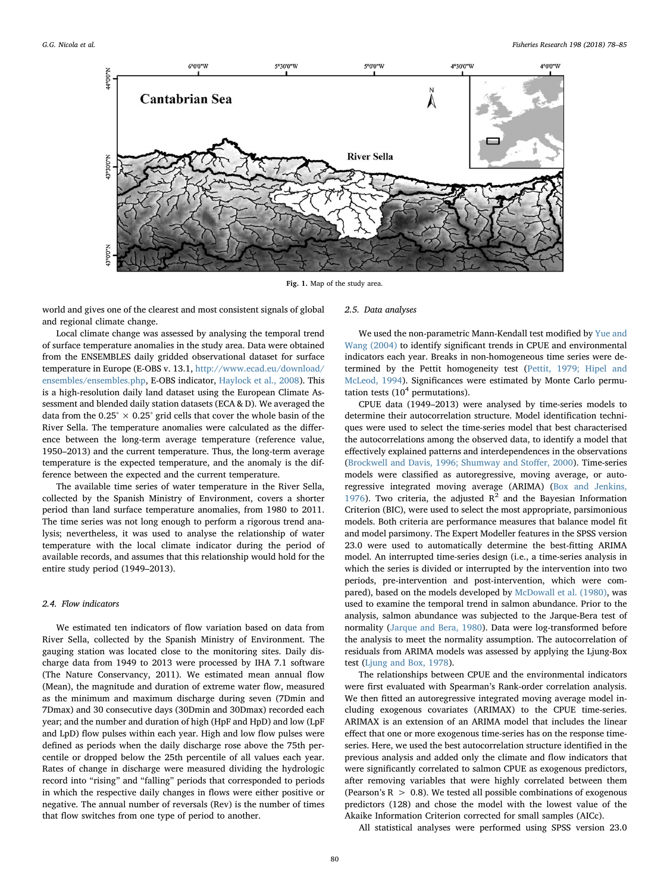<span id="page-2-0"></span>

Fig. 1. Map of the study area.

world and gives one of the clearest and most consistent signals of global and regional climate change.

2.5. Data analyses

Local climate change was assessed by analysing the temporal trend of surface temperature anomalies in the study area. Data were obtained from the ENSEMBLES daily gridded observational dataset for surface temperature in Europe (E-OBS v. 13.1, [http://www.ecad.eu/download/](http://www.ecad.eu/download/ensembles/ensembles.php) [ensembles/ensembles.php,](http://www.ecad.eu/download/ensembles/ensembles.php) E-OBS indicator, [Haylock et al., 2008](#page-6-17)). This is a high-resolution daily land dataset using the European Climate Assessment and blended daily station datasets (ECA & D). We averaged the data from the  $0.25^{\circ} \times 0.25^{\circ}$  grid cells that cover the whole basin of the River Sella. The temperature anomalies were calculated as the difference between the long-term average temperature (reference value, 1950–2013) and the current temperature. Thus, the long-term average temperature is the expected temperature, and the anomaly is the difference between the expected and the current temperature.

The available time series of water temperature in the River Sella, collected by the Spanish Ministry of Environment, covers a shorter period than land surface temperature anomalies, from 1980 to 2011. The time series was not long enough to perform a rigorous trend analysis; nevertheless, it was used to analyse the relationship of water temperature with the local climate indicator during the period of available records, and assumes that this relationship would hold for the entire study period (1949–2013).

## 2.4. Flow indicators

We estimated ten indicators of flow variation based on data from River Sella, collected by the Spanish Ministry of Environment. The gauging station was located close to the monitoring sites. Daily discharge data from 1949 to 2013 were processed by IHA 7.1 software (The Nature Conservancy, 2011). We estimated mean annual flow (Mean), the magnitude and duration of extreme water flow, measured as the minimum and maximum discharge during seven (7Dmin and 7Dmax) and 30 consecutive days (30Dmin and 30Dmax) recorded each year; and the number and duration of high (HpF and HpD) and low (LpF and LpD) flow pulses within each year. High and low flow pulses were defined as periods when the daily discharge rose above the 75th percentile or dropped below the 25th percentile of all values each year. Rates of change in discharge were measured dividing the hydrologic record into "rising" and "falling" periods that corresponded to periods in which the respective daily changes in flows were either positive or negative. The annual number of reversals (Rev) is the number of times that flow switches from one type of period to another.

We used the non-parametric Mann-Kendall test modified by [Yue and](#page-7-3) [Wang \(2004\)](#page-7-3) to identify significant trends in CPUE and environmental indicators each year. Breaks in non-homogeneous time series were determined by the Pettit homogeneity test ([Pettit, 1979; Hipel and](#page-6-18) [McLeod, 1994\)](#page-6-18). Significances were estimated by Monte Carlo permutation tests  $(10<sup>4</sup>$  permutations).

CPUE data (1949–2013) were analysed by time-series models to determine their autocorrelation structure. Model identification techniques were used to select the time-series model that best characterised the autocorrelations among the observed data, to identify a model that effectively explained patterns and interdependences in the observations ([Brockwell and Davis, 1996; Shumway and Sto](#page-5-6)ffer, 2000). Time-series models were classified as autoregressive, moving average, or autoregressive integrated moving average (ARIMA) [\(Box and Jenkins,](#page-5-7) [1976\)](#page-5-7). Two criteria, the adjusted  $R^2$  and the Bayesian Information Criterion (BIC), were used to select the most appropriate, parsimonious models. Both criteria are performance measures that balance model fit and model parsimony. The Expert Modeller features in the SPSS version 23.0 were used to automatically determine the best-fitting ARIMA model. An interrupted time-series design (i.e., a time-series analysis in which the series is divided or interrupted by the intervention into two periods, pre-intervention and post-intervention, which were compared), based on the models developed by [McDowall et al. \(1980\),](#page-6-19) was used to examine the temporal trend in salmon abundance. Prior to the analysis, salmon abundance was subjected to the Jarque-Bera test of normality ([Jarque and Bera, 1980\)](#page-6-20). Data were log-transformed before the analysis to meet the normality assumption. The autocorrelation of residuals from ARIMA models was assessed by applying the Ljung-Box test ([Ljung and Box, 1978](#page-6-21)).

The relationships between CPUE and the environmental indicators were first evaluated with Spearman's Rank-order correlation analysis. We then fitted an autoregressive integrated moving average model including exogenous covariates (ARIMAX) to the CPUE time-series. ARIMAX is an extension of an ARIMA model that includes the linear effect that one or more exogenous time-series has on the response timeseries. Here, we used the best autocorrelation structure identified in the previous analysis and added only the climate and flow indicators that were significantly correlated to salmon CPUE as exogenous predictors, after removing variables that were highly correlated between them (Pearson's  $R > 0.8$ ). We tested all possible combinations of exogenous predictors (128) and chose the model with the lowest value of the Akaike Information Criterion corrected for small samples (AICc).

All statistical analyses were performed using SPSS version 23.0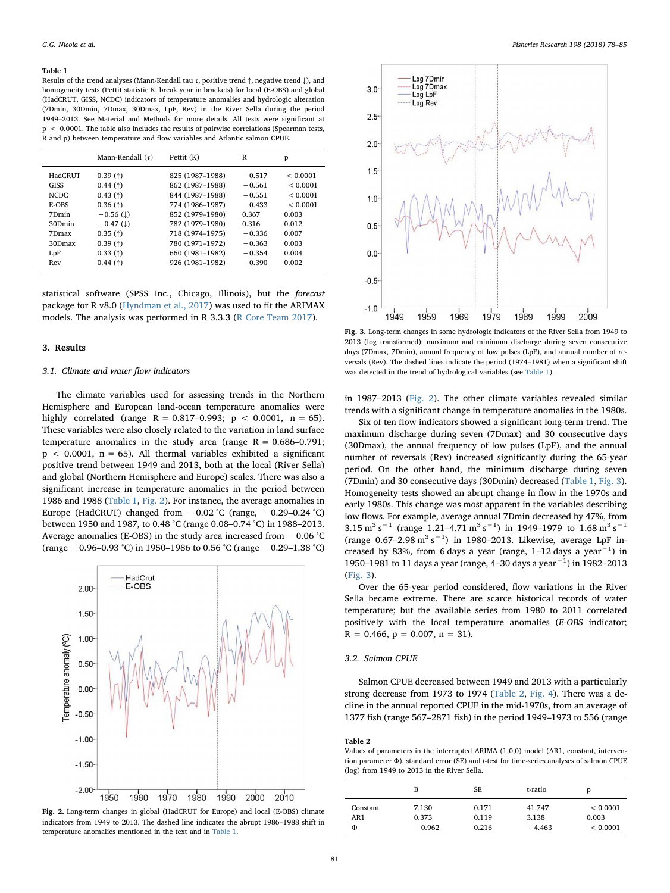#### <span id="page-3-0"></span>Table 1

Results of the trend analyses (Mann-Kendall tau  $\tau$ , positive trend  $\uparrow$ , negative trend  $\downarrow$ ), and homogeneity tests (Pettit statistic K, break year in brackets) for local (E-OBS) and global (HadCRUT, GISS, NCDC) indicators of temperature anomalies and hydrologic alteration (7Dmin, 30Dmin, 7Dmax, 30Dmax, LpF, Rev) in the River Sella during the period 1949–2013. See Material and Methods for more details. All tests were significant at  $p < 0.0001$ . The table also includes the results of pairwise correlations (Spearman tests, R and p) between temperature and flow variables and Atlantic salmon CPUE.

|             | Mann-Kendall $(\tau)$ | Pettit (K)      | R        | p        |
|-------------|-----------------------|-----------------|----------|----------|
| HadCRUT     | 0.39(f)               | 825 (1987-1988) | $-0.517$ | < 0.0001 |
| <b>GISS</b> | 0.44(f)               | 862 (1987-1988) | $-0.561$ | < 0.0001 |
| NCDC.       | 0.43(f)               | 844 (1987-1988) | $-0.551$ | < 0.0001 |
| E-OBS       | 0.36(f)               | 774 (1986-1987) | $-0.433$ | < 0.0001 |
| 7Dmin       | $-0.56$ (1)           | 852 (1979-1980) | 0.367    | 0.003    |
| 30Dmin      | $-0.47$ (1)           | 782 (1979-1980) | 0.316    | 0.012    |
| 7Dmax       | 0.35(f)               | 718 (1974-1975) | $-0.336$ | 0.007    |
| 30Dmax      | 0.39(f)               | 780 (1971-1972) | $-0.363$ | 0.003    |
| LpF         | 0.33(f)               | 660 (1981-1982) | $-0.354$ | 0.004    |
| Rev         | 0.44(f)               | 926 (1981-1982) | $-0.390$ | 0.002    |

statistical software (SPSS Inc., Chicago, Illinois), but the forecast package for R v8.0 [\(Hyndman et al., 2017\)](#page-6-22) was used to fit the ARIMAX models. The analysis was performed in R 3.3.3 ([R Core Team 2017\)](#page-6-23).

## 3. Results

## 3.1. Climate and water flow indicators

The climate variables used for assessing trends in the Northern Hemisphere and European land-ocean temperature anomalies were highly correlated (range R = 0.817-0.993;  $p < 0.0001$ , n = 65). These variables were also closely related to the variation in land surface temperature anomalies in the study area (range  $R = 0.686 - 0.791$ ;  $p < 0.0001$ ,  $n = 65$ ). All thermal variables exhibited a significant positive trend between 1949 and 2013, both at the local (River Sella) and global (Northern Hemisphere and Europe) scales. There was also a significant increase in temperature anomalies in the period between 1986 and 1988 [\(Table 1](#page-3-0), [Fig. 2](#page-3-1)). For instance, the average anomalies in Europe (HadCRUT) changed from  $-0.02$  °C (range,  $-0.29-0.24$  °C) between 1950 and 1987, to 0.48 °C (range 0.08–0.74 °C) in 1988–2013. Average anomalies (E-OBS) in the study area increased from −0.06 °C (range −0.96–0.93 °C) in 1950–1986 to 0.56 °C (range −0.29–1.38 °C)

<span id="page-3-1"></span>



<span id="page-3-2"></span>

Fig. 3. Long-term changes in some hydrologic indicators of the River Sella from 1949 to 2013 (log transformed): maximum and minimum discharge during seven consecutive days (7Dmax, 7Dmin), annual frequency of low pulses (LpF), and annual number of reversals (Rev). The dashed lines indicate the period (1974–1981) when a significant shift was detected in the trend of hydrological variables (see [Table 1\)](#page-3-0).

in 1987–2013 [\(Fig. 2\)](#page-3-1). The other climate variables revealed similar trends with a significant change in temperature anomalies in the 1980s.

Six of ten flow indicators showed a significant long-term trend. The maximum discharge during seven (7Dmax) and 30 consecutive days (30Dmax), the annual frequency of low pulses (LpF), and the annual number of reversals (Rev) increased significantly during the 65-year period. On the other hand, the minimum discharge during seven (7Dmin) and 30 consecutive days (30Dmin) decreased [\(Table 1](#page-3-0), [Fig. 3](#page-3-2)). Homogeneity tests showed an abrupt change in flow in the 1970s and early 1980s. This change was most apparent in the variables describing low flows. For example, average annual 7Dmin decreased by 47%, from 3.15 m<sup>3</sup> s<sup>-1</sup> (range 1.21–4.71 m<sup>3</sup> s<sup>-1</sup>) in 1949–1979 to 1.68 m<sup>3</sup> s<sup>-1</sup> (range  $0.67 - 2.98 \text{ m}^3 \text{ s}^{-1}$ ) in 1980-2013. Likewise, average LpF increased by 83%, from 6 days a year (range,  $1-12$  days a year<sup>-1</sup>) in 1950–1981 to 11 days a year (range, 4–30 days a year−<sup>1</sup> ) in 1982–2013 ([Fig. 3\)](#page-3-2).

Over the 65-year period considered, flow variations in the River Sella became extreme. There are scarce historical records of water temperature; but the available series from 1980 to 2011 correlated positively with the local temperature anomalies (E-OBS indicator;  $R = 0.466$ ,  $p = 0.007$ ,  $n = 31$ ).

## 3.2. Salmon CPUE

Salmon CPUE decreased between 1949 and 2013 with a particularly strong decrease from 1973 to 1974 [\(Table 2](#page-3-3), [Fig. 4\)](#page-4-0). There was a decline in the annual reported CPUE in the mid-1970s, from an average of 1377 fish (range 567–2871 fish) in the period 1949–1973 to 556 (range

## <span id="page-3-3"></span>Table 2

Values of parameters in the interrupted ARIMA (1,0,0) model (AR1, constant, intervention parameter Φ), standard error (SE) and t-test for time-series analyses of salmon CPUE (log) from 1949 to 2013 in the River Sella.

|          | в        | SE    | t-ratio  | p        |
|----------|----------|-------|----------|----------|
| Constant | 7.130    | 0.171 | 41.747   | < 0.0001 |
| AR1      | 0.373    | 0.119 | 3.138    | 0.003    |
| Φ        | $-0.962$ | 0.216 | $-4.463$ | < 0.0001 |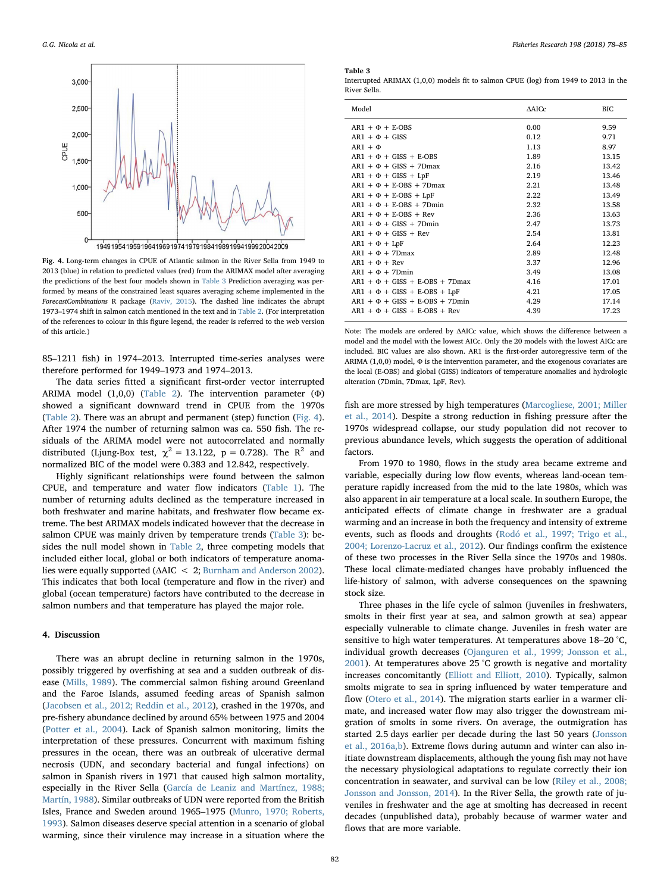<span id="page-4-0"></span>

Fig. 4. Long-term changes in CPUE of Atlantic salmon in the River Sella from 1949 to 2013 (blue) in relation to predicted values (red) from the ARIMAX model after averaging the predictions of the best four models shown in [Table 3](#page-4-1) Prediction averaging was performed by means of the constrained least squares averaging scheme implemented in the ForecastCombinations R package [\(Raviv, 2015\)](#page-6-33). The dashed line indicates the abrupt 1973–1974 shift in salmon catch mentioned in the text and in [Table 2.](#page-3-3) (For interpretation of the references to colour in this figure legend, the reader is referred to the web version of this article.)

85–1211 fish) in 1974–2013. Interrupted time-series analyses were therefore performed for 1949–1973 and 1974–2013.

The data series fitted a significant first-order vector interrupted ARIMA model (1,0,0) ([Table 2](#page-3-3)). The intervention parameter (Φ) showed a significant downward trend in CPUE from the 1970s ([Table 2](#page-3-3)). There was an abrupt and permanent (step) function [\(Fig. 4](#page-4-0)). After 1974 the number of returning salmon was ca. 550 fish. The residuals of the ARIMA model were not autocorrelated and normally distributed (Ljung-Box test,  $\chi^2 = 13.122$ , p = 0.728). The R<sup>2</sup> and normalized BIC of the model were 0.383 and 12.842, respectively.

Highly significant relationships were found between the salmon CPUE, and temperature and water flow indicators [\(Table 1](#page-3-0)). The number of returning adults declined as the temperature increased in both freshwater and marine habitats, and freshwater flow became extreme. The best ARIMAX models indicated however that the decrease in salmon CPUE was mainly driven by temperature trends ([Table 3\)](#page-4-1): besides the null model shown in [Table 2,](#page-3-3) three competing models that included either local, global or both indicators of temperature anomalies were equally supported (ΔAIC < 2; [Burnham and Anderson 2002](#page-5-8)). This indicates that both local (temperature and flow in the river) and global (ocean temperature) factors have contributed to the decrease in salmon numbers and that temperature has played the major role.

### 4. Discussion

There was an abrupt decline in returning salmon in the 1970s, possibly triggered by overfishing at sea and a sudden outbreak of disease ([Mills, 1989](#page-6-24)). The commercial salmon fishing around Greenland and the Faroe Islands, assumed feeding areas of Spanish salmon ([Jacobsen et al., 2012; Reddin et al., 2012\)](#page-6-11), crashed in the 1970s, and pre-fishery abundance declined by around 65% between 1975 and 2004 ([Potter et al., 2004\)](#page-6-1). Lack of Spanish salmon monitoring, limits the interpretation of these pressures. Concurrent with maximum fishing pressures in the ocean, there was an outbreak of ulcerative dermal necrosis (UDN, and secondary bacterial and fungal infections) on salmon in Spanish rivers in 1971 that caused high salmon mortality, especially in the River Sella [\(García de Leaniz and Martínez, 1988;](#page-6-25) [Martín, 1988\)](#page-6-25). Similar outbreaks of UDN were reported from the British Isles, France and Sweden around 1965–1975 [\(Munro, 1970; Roberts,](#page-6-26) [1993\)](#page-6-26). Salmon diseases deserve special attention in a scenario of global warming, since their virulence may increase in a situation where the

#### <span id="page-4-1"></span>Table 3

Interrupted ARIMAX (1,0,0) models fit to salmon CPUE (log) from 1949 to 2013 in the River Sella.

| Model                               | ∆AICc | BІC   |
|-------------------------------------|-------|-------|
| $ARI + \Phi + E-OBS$                | 0.00  | 9.59  |
| $ARI + \Phi + GISS$                 | 0.12  | 9.71  |
| $AR1 + \Phi$                        | 1.13  | 8.97  |
| $ARI + \Phi + GISS + E-OBS$         | 1.89  | 13.15 |
| $AR1 + \Phi + GISS + 7Dmax$         | 2.16  | 13.42 |
| $AR1 + \Phi + GISS + LpF$           | 2.19  | 13.46 |
| $AR1 + \Phi + E-OBS + 7Dmax$        | 2.21  | 13.48 |
| $ARI + \Phi + E-OBS + LpF$          | 2.22  | 13.49 |
| $AR1 + \Phi + E-OBS + 7Dmin$        | 2.32  | 13.58 |
| $ARI + \Phi + E-OBS + Rev$          | 2.36  | 13.63 |
| $AR1 + \Phi + GISS + 7Dmin$         | 2.47  | 13.73 |
| $ARI + \Phi + GISS + Rev$           | 2.54  | 13.81 |
| $AR1 + \Phi + LpF$                  | 2.64  | 12.23 |
| $AR1 + \Phi + 7$ Dmax               | 2.89  | 12.48 |
| $ARI + \Phi + Rev$                  | 3.37  | 12.96 |
| $AR1 + \Phi + 7Dmin$                | 3.49  | 13.08 |
| $AR1 + \Phi + GISS + E-OBS + 7Dmax$ | 4.16  | 17.01 |
| $AR1 + \Phi + GISS + E-OBS + LpF$   | 4.21  | 17.05 |
| $AR1 + \Phi + GISS + E-OBS + 7Dmin$ | 4.29  | 17.14 |
| $AR1 + \Phi + GISS + E-OBS + Rev$   | 4.39  | 17.23 |

Note: The models are ordered by ΔAICc value, which shows the difference between a model and the model with the lowest AICc. Only the 20 models with the lowest AICc are included. BIC values are also shown. AR1 is the first-order autoregressive term of the ARIMA  $(1,0,0)$  model,  $\Phi$  is the intervention parameter, and the exogenous covariates are the local (E-OBS) and global (GISS) indicators of temperature anomalies and hydrologic alteration (7Dmin, 7Dmax, LpF, Rev).

fish are more stressed by high temperatures [\(Marcogliese, 2001; Miller](#page-6-27) [et al., 2014\)](#page-6-27). Despite a strong reduction in fishing pressure after the 1970s widespread collapse, our study population did not recover to previous abundance levels, which suggests the operation of additional factors.

From 1970 to 1980, flows in the study area became extreme and variable, especially during low flow events, whereas land-ocean temperature rapidly increased from the mid to the late 1980s, which was also apparent in air temperature at a local scale. In southern Europe, the anticipated effects of climate change in freshwater are a gradual warming and an increase in both the frequency and intensity of extreme events, such as floods and droughts [\(Rodó et al., 1997; Trigo et al.,](#page-6-28) [2004; Lorenzo-Lacruz et al., 2012\)](#page-6-28). Our findings confirm the existence of these two processes in the River Sella since the 1970s and 1980s. These local climate-mediated changes have probably influenced the life-history of salmon, with adverse consequences on the spawning stock size.

Three phases in the life cycle of salmon (juveniles in freshwaters, smolts in their first year at sea, and salmon growth at sea) appear especially vulnerable to climate change. Juveniles in fresh water are sensitive to high water temperatures. At temperatures above 18–20 °C, individual growth decreases [\(Ojanguren et al., 1999; Jonsson et al.,](#page-6-29) [2001\)](#page-6-29). At temperatures above 25 °C growth is negative and mortality increases concomitantly ([Elliott and Elliott, 2010\)](#page-5-3). Typically, salmon smolts migrate to sea in spring influenced by water temperature and flow ([Otero et al., 2014\)](#page-6-30). The migration starts earlier in a warmer climate, and increased water flow may also trigger the downstream migration of smolts in some rivers. On average, the outmigration has started 2.5 days earlier per decade during the last 50 years ([Jonsson](#page-6-31) [et al., 2016a,b](#page-6-31)). Extreme flows during autumn and winter can also initiate downstream displacements, although the young fish may not have the necessary physiological adaptations to regulate correctly their ion concentration in seawater, and survival can be low [\(Riley et al., 2008;](#page-6-32) [Jonsson and Jonsson, 2014](#page-6-32)). In the River Sella, the growth rate of juveniles in freshwater and the age at smolting has decreased in recent decades (unpublished data), probably because of warmer water and flows that are more variable.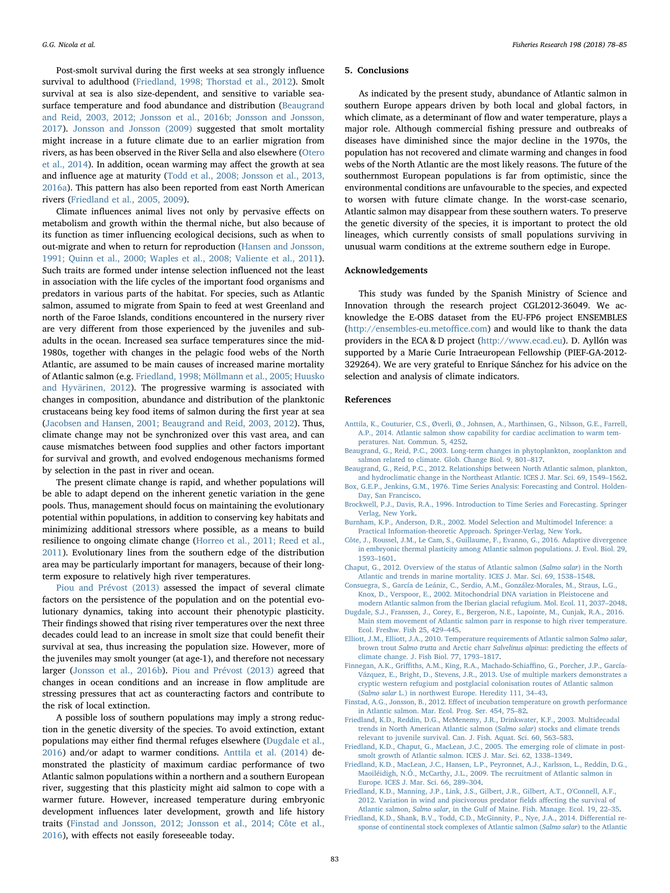Post-smolt survival during the first weeks at sea strongly influence survival to adulthood [\(Friedland, 1998; Thorstad et al., 2012\)](#page-6-34). Smolt survival at sea is also size-dependent, and sensitive to variable seasurface temperature and food abundance and distribution ([Beaugrand](#page-5-9) [and Reid, 2003, 2012; Jonsson et al., 2016b; Jonsson and Jonsson,](#page-5-9) [2017\)](#page-5-9). [Jonsson and Jonsson \(2009\)](#page-6-3) suggested that smolt mortality might increase in a future climate due to an earlier migration from rivers, as has been observed in the River Sella and also elsewhere ([Otero](#page-6-30) [et al., 2014](#page-6-30)). In addition, ocean warming may affect the growth at sea and influence age at maturity ([Todd et al., 2008; Jonsson et al., 2013,](#page-6-35) [2016a\)](#page-6-35). This pattern has also been reported from east North American rivers [\(Friedland et al., 2005, 2009](#page-5-10)).

Climate influences animal lives not only by pervasive effects on metabolism and growth within the thermal niche, but also because of its function as timer influencing ecological decisions, such as when to out-migrate and when to return for reproduction ([Hansen and Jonsson,](#page-6-36) [1991; Quinn et al., 2000; Waples et al., 2008; Valiente et al., 2011](#page-6-36)). Such traits are formed under intense selection influenced not the least in association with the life cycles of the important food organisms and predators in various parts of the habitat. For species, such as Atlantic salmon, assumed to migrate from Spain to feed at west Greenland and north of the Faroe Islands, conditions encountered in the nursery river are very different from those experienced by the juveniles and subadults in the ocean. Increased sea surface temperatures since the mid-1980s, together with changes in the pelagic food webs of the North Atlantic, are assumed to be main causes of increased marine mortality of Atlantic salmon (e.g. [Friedland, 1998; Möllmann et al., 2005; Huusko](#page-6-34) [and Hyvärinen, 2012](#page-6-34)). The progressive warming is associated with changes in composition, abundance and distribution of the planktonic crustaceans being key food items of salmon during the first year at sea ([Jacobsen and Hansen, 2001; Beaugrand and Reid, 2003, 2012\)](#page-6-37). Thus, climate change may not be synchronized over this vast area, and can cause mismatches between food supplies and other factors important for survival and growth, and evolved endogenous mechanisms formed by selection in the past in river and ocean.

The present climate change is rapid, and whether populations will be able to adapt depend on the inherent genetic variation in the gene pools. Thus, management should focus on maintaining the evolutionary potential within populations, in addition to conserving key habitats and minimizing additional stressors where possible, as a means to build resilience to ongoing climate change ([Horreo et al., 2011; Reed et al.,](#page-6-38) [2011\)](#page-6-38). Evolutionary lines from the southern edge of the distribution area may be particularly important for managers, because of their longterm exposure to relatively high river temperatures.

[Piou and Prévost \(2013\)](#page-6-39) assessed the impact of several climate factors on the persistence of the population and on the potential evolutionary dynamics, taking into account their phenotypic plasticity. Their findings showed that rising river temperatures over the next three decades could lead to an increase in smolt size that could benefit their survival at sea, thus increasing the population size. However, more of the juveniles may smolt younger (at age-1), and therefore not necessary larger [\(Jonsson et al., 2016b](#page-6-40)). [Piou and Prévost \(2013\)](#page-6-39) agreed that changes in ocean conditions and an increase in flow amplitude are stressing pressures that act as counteracting factors and contribute to the risk of local extinction.

A possible loss of southern populations may imply a strong reduction in the genetic diversity of the species. To avoid extinction, extant populations may either find thermal refuges elsewhere [\(Dugdale et al.,](#page-5-11) [2016\)](#page-5-11) and/or adapt to warmer conditions. [Anttila et al. \(2014\)](#page-5-12) demonstrated the plasticity of maximum cardiac performance of two Atlantic salmon populations within a northern and a southern European river, suggesting that this plasticity might aid salmon to cope with a warmer future. However, increased temperature during embryonic development influences later development, growth and life history traits ([Finstad and Jonsson, 2012; Jonsson et al., 2014; Côte et al.,](#page-5-13) [2016\)](#page-5-13), with effects not easily foreseeable today.

### 5. Conclusions

As indicated by the present study, abundance of Atlantic salmon in southern Europe appears driven by both local and global factors, in which climate, as a determinant of flow and water temperature, plays a major role. Although commercial fishing pressure and outbreaks of diseases have diminished since the major decline in the 1970s, the population has not recovered and climate warming and changes in food webs of the North Atlantic are the most likely reasons. The future of the southernmost European populations is far from optimistic, since the environmental conditions are unfavourable to the species, and expected to worsen with future climate change. In the worst-case scenario, Atlantic salmon may disappear from these southern waters. To preserve the genetic diversity of the species, it is important to protect the old lineages, which currently consists of small populations surviving in unusual warm conditions at the extreme southern edge in Europe.

## Acknowledgements

This study was funded by the Spanish Ministry of Science and Innovation through the research project CGL2012-36049. We acknowledge the E-OBS dataset from the EU-FP6 project ENSEMBLES ([http://ensembles-eu.meto](http://ensembles-eu.metoffice.com)ffice.com) and would like to thank the data providers in the ECA & D project (<http://www.ecad.eu>). D. Ayllón was supported by a Marie Curie Intraeuropean Fellowship (PIEF-GA-2012- 329264). We are very grateful to Enrique Sánchez for his advice on the selection and analysis of climate indicators.

## References

- <span id="page-5-12"></span>[Anttila, K., Couturier, C.S., Øverli, Ø., Johnsen, A., Marthinsen, G., Nilsson, G.E., Farrell,](http://refhub.elsevier.com/S0165-7836(17)30287-4/sbref0005) [A.P., 2014. Atlantic salmon show capability for cardiac acclimation to warm tem](http://refhub.elsevier.com/S0165-7836(17)30287-4/sbref0005)[peratures. Nat. Commun. 5, 4252](http://refhub.elsevier.com/S0165-7836(17)30287-4/sbref0005).
- <span id="page-5-9"></span>[Beaugrand, G., Reid, P.C., 2003. Long-term changes in phytoplankton, zooplankton and](http://refhub.elsevier.com/S0165-7836(17)30287-4/sbref0010) [salmon related to climate. Glob. Change Biol. 9, 801](http://refhub.elsevier.com/S0165-7836(17)30287-4/sbref0010)–817.
- <span id="page-5-4"></span>[Beaugrand, G., Reid, P.C., 2012. Relationships between North Atlantic salmon, plankton,](http://refhub.elsevier.com/S0165-7836(17)30287-4/sbref0015) [and hydroclimatic change in the Northeast Atlantic. ICES J. Mar. Sci. 69, 1549](http://refhub.elsevier.com/S0165-7836(17)30287-4/sbref0015)–1562.
- <span id="page-5-7"></span>[Box, G.E.P., Jenkins, G.M., 1976. Time Series Analysis: Forecasting and Control. Holden-](http://refhub.elsevier.com/S0165-7836(17)30287-4/sbref0020)[Day, San Francisco.](http://refhub.elsevier.com/S0165-7836(17)30287-4/sbref0020)
- <span id="page-5-6"></span>[Brockwell, P.J., Davis, R.A., 1996. Introduction to Time Series and Forecasting. Springer](http://refhub.elsevier.com/S0165-7836(17)30287-4/sbref0025) [Verlag, New York](http://refhub.elsevier.com/S0165-7836(17)30287-4/sbref0025).
- <span id="page-5-8"></span>[Burnham, K.P., Anderson, D.R., 2002. Model Selection and Multimodel Inference: a](http://refhub.elsevier.com/S0165-7836(17)30287-4/sbref0030) [Practical Information-theoretic Approach. Springer-Verlag, New York.](http://refhub.elsevier.com/S0165-7836(17)30287-4/sbref0030)
- [Côte, J., Roussel, J.M., Le Cam, S., Guillaume, F., Evanno, G., 2016. Adaptive divergence](http://refhub.elsevier.com/S0165-7836(17)30287-4/sbref0035) [in embryonic thermal plasticity among Atlantic salmon populations. J. Evol. Biol. 29,](http://refhub.elsevier.com/S0165-7836(17)30287-4/sbref0035) 1593–[1601](http://refhub.elsevier.com/S0165-7836(17)30287-4/sbref0035).
- <span id="page-5-0"></span>[Chaput, G., 2012. Overview of the status of Atlantic salmon \(](http://refhub.elsevier.com/S0165-7836(17)30287-4/sbref0040)Salmo salar) in the North [Atlantic and trends in marine mortality. ICES J. Mar. Sci. 69, 1538](http://refhub.elsevier.com/S0165-7836(17)30287-4/sbref0040)–1548.
- <span id="page-5-5"></span>[Consuegra, S., García de Leániz, C., Serdio, A.M., González-Morales, M., Straus, L.G.,](http://refhub.elsevier.com/S0165-7836(17)30287-4/sbref0045) [Knox, D., Verspoor, E., 2002. Mitochondrial DNA variation in Pleistocene and](http://refhub.elsevier.com/S0165-7836(17)30287-4/sbref0045) [modern Atlantic salmon from the Iberian glacial refugium. Mol. Ecol. 11, 2037](http://refhub.elsevier.com/S0165-7836(17)30287-4/sbref0045)–2048.
- <span id="page-5-11"></span>[Dugdale, S.J., Franssen, J., Corey, E., Bergeron, N.E., Lapointe, M., Cunjak, R.A., 2016.](http://refhub.elsevier.com/S0165-7836(17)30287-4/sbref0050) [Main stem movement of Atlantic salmon parr in response to high river temperature.](http://refhub.elsevier.com/S0165-7836(17)30287-4/sbref0050) [Ecol. Freshw. Fish 25, 429](http://refhub.elsevier.com/S0165-7836(17)30287-4/sbref0050)–445.
- <span id="page-5-3"></span>[Elliott, J.M., Elliott, J.A., 2010. Temperature requirements of Atlantic salmon](http://refhub.elsevier.com/S0165-7836(17)30287-4/sbref0055) Salmo salar, brown trout Salmo trutta and Arctic charr Salvelinus alpinus[: predicting the e](http://refhub.elsevier.com/S0165-7836(17)30287-4/sbref0055)ffects of [climate change. J. Fish Biol. 77, 1793](http://refhub.elsevier.com/S0165-7836(17)30287-4/sbref0055)–1817.
- Finnegan, A.K., Griffi[ths, A.M., King, R.A., Machado-Schia](http://refhub.elsevier.com/S0165-7836(17)30287-4/sbref0060)ffino, G., Porcher, J.P., García-[Vázquez, E., Bright, D., Stevens, J.R., 2013. Use of multiple markers demonstrates a](http://refhub.elsevier.com/S0165-7836(17)30287-4/sbref0060) [cryptic western refugium and postglacial colonisation routes of Atlantic salmon](http://refhub.elsevier.com/S0165-7836(17)30287-4/sbref0060) (Salmo salar [L.\) in northwest Europe. Heredity 111, 34](http://refhub.elsevier.com/S0165-7836(17)30287-4/sbref0060)–43.
- <span id="page-5-13"></span>Finstad, A.G., Jonsson, B., 2012. Eff[ect of incubation temperature on growth performance](http://refhub.elsevier.com/S0165-7836(17)30287-4/sbref0065) [in Atlantic salmon. Mar. Ecol. Prog. Ser. 454, 75](http://refhub.elsevier.com/S0165-7836(17)30287-4/sbref0065)–82.
- <span id="page-5-1"></span>[Friedland, K.D., Reddin, D.G., McMenemy, J.R., Drinkwater, K.F., 2003. Multidecadal](http://refhub.elsevier.com/S0165-7836(17)30287-4/sbref0070) [trends in North American Atlantic salmon \(](http://refhub.elsevier.com/S0165-7836(17)30287-4/sbref0070)Salmo salar) stocks and climate trends [relevant to juvenile survival. Can. J. Fish. Aquat. Sci. 60, 563](http://refhub.elsevier.com/S0165-7836(17)30287-4/sbref0070)–583.
- <span id="page-5-10"></span>[Friedland, K.D., Chaput, G., MacLean, J.C., 2005. The emerging role of climate in post](http://refhub.elsevier.com/S0165-7836(17)30287-4/sbref0075)[smolt growth of Atlantic salmon. ICES J. Mar. Sci. 62, 1338](http://refhub.elsevier.com/S0165-7836(17)30287-4/sbref0075)–1349.
- <span id="page-5-2"></span>[Friedland, K.D., MacLean, J.C., Hansen, L.P., Peyronnet, A.J., Karlsson, L., Reddin, D.G.,](http://refhub.elsevier.com/S0165-7836(17)30287-4/sbref0080) [Maoiléidigh, N.Ó., McCarthy, J.L., 2009. The recruitment of Atlantic salmon in](http://refhub.elsevier.com/S0165-7836(17)30287-4/sbref0080) [Europe. ICES J. Mar. Sci. 66, 289](http://refhub.elsevier.com/S0165-7836(17)30287-4/sbref0080)–304.
- [Friedland, K.D., Manning, J.P., Link, J.S., Gilbert, J.R., Gilbert, A.T., O'Connell, A.F.,](http://refhub.elsevier.com/S0165-7836(17)30287-4/sbref0085) [2012. Variation in wind and piscivorous predator](http://refhub.elsevier.com/S0165-7836(17)30287-4/sbref0085) fields affecting the survival of Atlantic salmon, Salmo salar[, in the Gulf of Maine. Fish. Manage. Ecol. 19, 22](http://refhub.elsevier.com/S0165-7836(17)30287-4/sbref0085)–35.
- [Friedland, K.D., Shank, B.V., Todd, C.D., McGinnity, P., Nye, J.A., 2014. Di](http://refhub.elsevier.com/S0165-7836(17)30287-4/sbref0090)fferential re[sponse of continental stock complexes of Atlantic salmon \(](http://refhub.elsevier.com/S0165-7836(17)30287-4/sbref0090)Salmo salar) to the Atlantic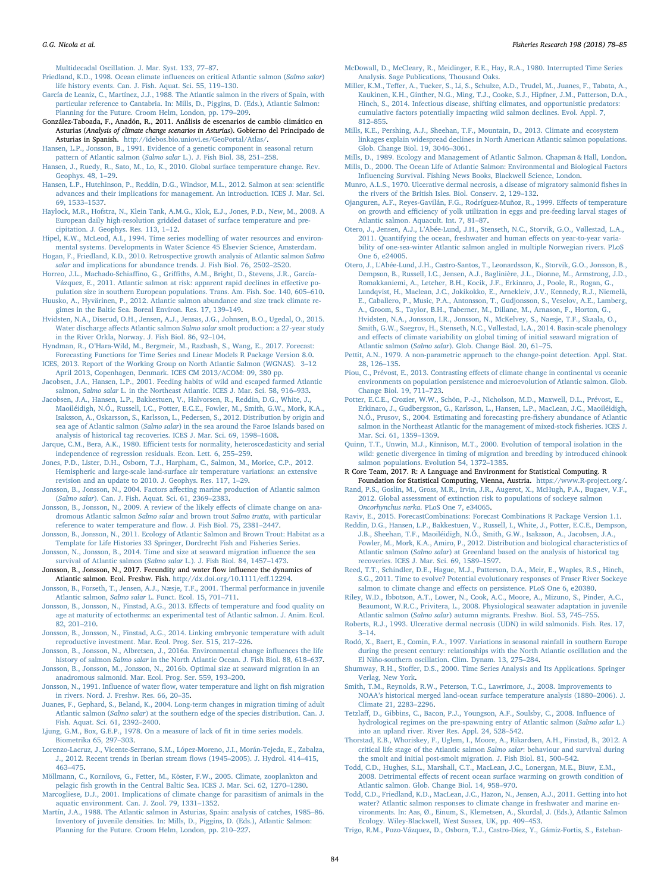[Multidecadal Oscillation. J. Mar. Syst. 133, 77](http://refhub.elsevier.com/S0165-7836(17)30287-4/sbref0090)–87.

<span id="page-6-34"></span>[Friedland, K.D., 1998. Ocean climate in](http://refhub.elsevier.com/S0165-7836(17)30287-4/sbref0095)fluences on critical Atlantic salmon (Salmo salar) [life history events. Can. J. Fish. Aquat. Sci. 55, 119](http://refhub.elsevier.com/S0165-7836(17)30287-4/sbref0095)–130.

- <span id="page-6-25"></span>[García de Leaniz, C., Martínez, J.J., 1988. The Atlantic salmon in the rivers of Spain, with](http://refhub.elsevier.com/S0165-7836(17)30287-4/sbref0100) [particular reference to Cantabria. In: Mills, D., Piggins, D. \(Eds.\), Atlantic Salmon:](http://refhub.elsevier.com/S0165-7836(17)30287-4/sbref0100) [Planning for the Future. Croom Helm, London, pp. 179](http://refhub.elsevier.com/S0165-7836(17)30287-4/sbref0100)–209.
- <span id="page-6-12"></span>González-Taboada, F., Anadón, R., 2011. Análisis de escenarios de cambio climático en Asturias (Analysis of climate change scenarios in Asturias). Gobierno del Principado de Asturias in Spanish. <http://idebos.bio.uniovi.es/GeoPortal/Atlas/>.
- <span id="page-6-36"></span>[Hansen, L.P., Jonsson, B., 1991. Evidence of a genetic component in seasonal return](http://refhub.elsevier.com/S0165-7836(17)30287-4/sbref0110) [pattern of Atlantic salmon \(](http://refhub.elsevier.com/S0165-7836(17)30287-4/sbref0110)Salmo salar L.). J. Fish Biol. 38, 251–258.
- <span id="page-6-14"></span>[Hansen, J., Ruedy, R., Sato, M., Lo, K., 2010. Global surface temperature change. Rev.](http://refhub.elsevier.com/S0165-7836(17)30287-4/sbref0115) [Geophys. 48, 1](http://refhub.elsevier.com/S0165-7836(17)30287-4/sbref0115)–29.
- [Hansen, L.P., Hutchinson, P., Reddin, D.G., Windsor, M.L., 2012. Salmon at sea: scienti](http://refhub.elsevier.com/S0165-7836(17)30287-4/sbref0120)fic [advances and their implications for management. An introduction. ICES J. Mar. Sci.](http://refhub.elsevier.com/S0165-7836(17)30287-4/sbref0120) [69, 1533](http://refhub.elsevier.com/S0165-7836(17)30287-4/sbref0120)–1537.
- <span id="page-6-17"></span>[Haylock, M.R., Hofstra, N., Klein Tank, A.M.G., Klok, E.J., Jones, P.D., New, M., 2008. A](http://refhub.elsevier.com/S0165-7836(17)30287-4/sbref0125) [European daily high-resolution gridded dataset of surface temperature and pre](http://refhub.elsevier.com/S0165-7836(17)30287-4/sbref0125)[cipitation. J. Geophys. Res. 113, 1](http://refhub.elsevier.com/S0165-7836(17)30287-4/sbref0125)–12.
- [Hipel, K.W., McLeod, A.I., 1994. Time series modelling of water resources and environ](http://refhub.elsevier.com/S0165-7836(17)30287-4/sbref0130)[mental systems. Developments in Water Science 45 Elsevier Science, Amsterdam.](http://refhub.elsevier.com/S0165-7836(17)30287-4/sbref0130)
- <span id="page-6-9"></span>[Hogan, F., Friedland, K.D., 2010. Retrospective growth analysis of Atlantic salmon](http://refhub.elsevier.com/S0165-7836(17)30287-4/sbref0135) Salmo salar [and implications for abundance trends. J. Fish Biol. 76, 2502](http://refhub.elsevier.com/S0165-7836(17)30287-4/sbref0135)–2520.
- <span id="page-6-38"></span>Horreo, J.L., Machado-Schiaffino, G., Griffi[ths, A.M., Bright, D., Stevens, J.R., García-](http://refhub.elsevier.com/S0165-7836(17)30287-4/sbref0140)[Vázquez, E., 2011. Atlantic salmon at risk: apparent rapid declines in e](http://refhub.elsevier.com/S0165-7836(17)30287-4/sbref0140)ffective po[pulation size in southern European populations. Trans. Am. Fish. Soc. 140, 605](http://refhub.elsevier.com/S0165-7836(17)30287-4/sbref0140)–610.
- [Huusko, A., Hyvärinen, P., 2012. Atlantic salmon abundance and size track climate re](http://refhub.elsevier.com/S0165-7836(17)30287-4/sbref0145)[gimes in the Baltic Sea. Boreal Environ. Res. 17, 139](http://refhub.elsevier.com/S0165-7836(17)30287-4/sbref0145)–149.
- <span id="page-6-6"></span>[Hvidsten, N.A., Diserud, O.H., Jensen, A.J., Jensas, J.G., Johnsen, B.O., Ugedal, O., 2015.](http://refhub.elsevier.com/S0165-7836(17)30287-4/sbref0150) Water discharge affects Atlantic salmon Salmo salar [smolt production: a 27-year study](http://refhub.elsevier.com/S0165-7836(17)30287-4/sbref0150) [in the River Orkla, Norway. J. Fish Biol. 86, 92](http://refhub.elsevier.com/S0165-7836(17)30287-4/sbref0150)–104.
- <span id="page-6-22"></span>Hyndman, R., O'[Hara-Wild, M., Bergmeir, M., Razbash, S., Wang, E., 2017. Forecast:](http://refhub.elsevier.com/S0165-7836(17)30287-4/sbref0155)
- <span id="page-6-0"></span>[Forecasting Functions for Time Series and Linear Models R Package Version 8.0.](http://refhub.elsevier.com/S0165-7836(17)30287-4/sbref0155) [ICES, 2013. Report of the Working Group on North Atlantic Salmon \(WGNAS\). 3](http://refhub.elsevier.com/S0165-7836(17)30287-4/sbref0160)–12 [April 2013, Copenhagen, Denmark. ICES CM 2013/ACOM: 09, 380 pp.](http://refhub.elsevier.com/S0165-7836(17)30287-4/sbref0160)
- <span id="page-6-37"></span>[Jacobsen, J.A., Hansen, L.P., 2001. Feeding habits of wild and escaped farmed Atlantic](http://refhub.elsevier.com/S0165-7836(17)30287-4/sbref0165) salmon, Salmo salar [L. in the Northeast Atlantic. ICES J. Mar. Sci. 58, 916](http://refhub.elsevier.com/S0165-7836(17)30287-4/sbref0165)–933.
- <span id="page-6-11"></span>Jacobsen, [J.A., Hansen, L.P., Bakkestuen, V., Halvorsen, R., Reddin, D.G., White, J.,](http://refhub.elsevier.com/S0165-7836(17)30287-4/sbref0170) [Maoiléidigh, N.Ó., Russell, I.C., Potter, E.C.E., Fowler, M., Smith, G.W., Mork, K.A.,](http://refhub.elsevier.com/S0165-7836(17)30287-4/sbref0170) [Isaksson, A., Oskarsson, S., Karlsson, L., Pedersen, S., 2012. Distribution by origin and](http://refhub.elsevier.com/S0165-7836(17)30287-4/sbref0170) sea age of Atlantic salmon (Salmo salar[\) in the sea around the Faroe Islands based on](http://refhub.elsevier.com/S0165-7836(17)30287-4/sbref0170) [analysis of historical tag recoveries. ICES J. Mar. Sci. 69, 1598](http://refhub.elsevier.com/S0165-7836(17)30287-4/sbref0170)–1608.
- <span id="page-6-20"></span>Jarque, C.M., Bera, A.K., 1980. Effi[cient tests for normality, heteroscedasticity and serial](http://refhub.elsevier.com/S0165-7836(17)30287-4/sbref0175) [independence of regression residuals. Econ. Lett. 6, 255](http://refhub.elsevier.com/S0165-7836(17)30287-4/sbref0175)–259.
- <span id="page-6-16"></span>[Jones, P.D., Lister, D.H., Osborn, T.J., Harpham, C., Salmon, M., Morice, C.P., 2012.](http://refhub.elsevier.com/S0165-7836(17)30287-4/sbref0180) [Hemispheric and large-scale land-surface air temperature variations: an extensive](http://refhub.elsevier.com/S0165-7836(17)30287-4/sbref0180) [revision and an update to 2010. J. Geophys. Res. 117, 1](http://refhub.elsevier.com/S0165-7836(17)30287-4/sbref0180)–29.
- Jonsson, B., Jonsson, N., 2004. Factors aff[ecting marine production of Atlantic salmon](http://refhub.elsevier.com/S0165-7836(17)30287-4/sbref0185) (Salmo salar[\). Can. J. Fish. Aquat. Sci. 61, 2369](http://refhub.elsevier.com/S0165-7836(17)30287-4/sbref0185)–2383.
- <span id="page-6-3"></span>[Jonsson, B., Jonsson, N., 2009. A review of the likely e](http://refhub.elsevier.com/S0165-7836(17)30287-4/sbref0190)ffects of climate change on ana[dromous Atlantic salmon](http://refhub.elsevier.com/S0165-7836(17)30287-4/sbref0190) Salmo salar and brown trout Salmo trutta, with particular [reference to water temperature and](http://refhub.elsevier.com/S0165-7836(17)30287-4/sbref0190) flow. J. Fish Biol. 75, 2381–2447.
- <span id="page-6-4"></span>[Jonsson, B., Jonsson, N., 2011. Ecology of Atlantic Salmon and Brown Trout: Habitat as a](http://refhub.elsevier.com/S0165-7836(17)30287-4/sbref0195) [Template for Life Histories 33 Springer, Dordrecht Fish and Fisheries Series](http://refhub.elsevier.com/S0165-7836(17)30287-4/sbref0195).
- [Jonsson, N., Jonsson, B., 2014. Time and size at seaward migration in](http://refhub.elsevier.com/S0165-7836(17)30287-4/sbref0200)fluence the sea [survival of Atlantic salmon \(](http://refhub.elsevier.com/S0165-7836(17)30287-4/sbref0200)Salmo salar L.). J. Fish Biol. 84, 1457–1473.
- Jonsson, B., Jonsson, N., 2017. Fecundity and water flow influence the dynamics of Atlantic salmon. Ecol. Freshw. Fish. [http://dx.doi.org/10.1111/e](http://dx.doi.org/10.1111/eff.12294)ff.12294.
- [Jonsson, B., Forseth, T., Jensen, A.J., Næsje, T.F., 2001. Thermal performance in juvenile](http://refhub.elsevier.com/S0165-7836(17)30287-4/sbref0210) Atlantic salmon, Salmo salar [L. Funct. Ecol. 15, 701](http://refhub.elsevier.com/S0165-7836(17)30287-4/sbref0210)–711.
- [Jonsson, B., Jonsson, N., Finstad, A.G., 2013. E](http://refhub.elsevier.com/S0165-7836(17)30287-4/sbref0215)ffects of temperature and food quality on [age at maturity of ectotherms: an experimental test of Atlantic salmon. J. Anim. Ecol.](http://refhub.elsevier.com/S0165-7836(17)30287-4/sbref0215) [82, 201](http://refhub.elsevier.com/S0165-7836(17)30287-4/sbref0215)–210.
- [Jonsson, B., Jonsson, N., Finstad, A.G., 2014. Linking embryonic temperature with adult](http://refhub.elsevier.com/S0165-7836(17)30287-4/sbref0220) [reproductive investment. Mar. Ecol. Prog. Ser. 515, 217](http://refhub.elsevier.com/S0165-7836(17)30287-4/sbref0220)–226.
- <span id="page-6-31"></span>[Jonsson, B., Jonsson, N., Albretsen, J., 2016a. Environmental change in](http://refhub.elsevier.com/S0165-7836(17)30287-4/sbref0225)fluences the life history of salmon Salmo salar [in the North Atlantic Ocean. J. Fish Biol. 88, 618](http://refhub.elsevier.com/S0165-7836(17)30287-4/sbref0225)–637. [Jonsson, B., Jonsson, M., Jonsson, N., 2016b. Optimal size at seaward migration in an](http://refhub.elsevier.com/S0165-7836(17)30287-4/sbref0230)
- <span id="page-6-40"></span>[anadromous salmonid. Mar. Ecol. Prog. Ser. 559, 193](http://refhub.elsevier.com/S0165-7836(17)30287-4/sbref0230)–200.
- <span id="page-6-5"></span>Jonsson, N., 1991. Influence of water fl[ow, water temperature and light on](http://refhub.elsevier.com/S0165-7836(17)30287-4/sbref0235) fish migration [in rivers. Nord. J. Freshw. Res. 66, 20](http://refhub.elsevier.com/S0165-7836(17)30287-4/sbref0235)–35.
- <span id="page-6-10"></span>[Juanes, F., Gephard, S., Beland, K., 2004. Long-term changes in migration timing of adult](http://refhub.elsevier.com/S0165-7836(17)30287-4/sbref0240) Atlantic salmon (Salmo salar[\) at the southern edge of the species distribution. Can. J.](http://refhub.elsevier.com/S0165-7836(17)30287-4/sbref0240) [Fish. Aquat. Sci. 61, 2392](http://refhub.elsevier.com/S0165-7836(17)30287-4/sbref0240)–2400.
- <span id="page-6-21"></span>[Ljung, G.M., Box, G.E.P., 1978. On a measure of lack of](http://refhub.elsevier.com/S0165-7836(17)30287-4/sbref0245) fit in time series models. [Biometrika 65, 297](http://refhub.elsevier.com/S0165-7836(17)30287-4/sbref0245)–303.
- [Lorenzo-Lacruz, J., Vicente-Serrano, S.M., López-Moreno, J.I., Morán-Tejeda, E., Zabalza,](http://refhub.elsevier.com/S0165-7836(17)30287-4/sbref0250) [J., 2012. Recent trends in Iberian stream](http://refhub.elsevier.com/S0165-7836(17)30287-4/sbref0250) flows (1945–2005). J. Hydrol. 414–415, 463–[475](http://refhub.elsevier.com/S0165-7836(17)30287-4/sbref0250).
- [Möllmann, C., Kornilovs, G., Fetter, M., Köster, F.W., 2005. Climate, zooplankton and](http://refhub.elsevier.com/S0165-7836(17)30287-4/sbref0255) pelagic fi[sh growth in the Central Baltic Sea. ICES J. Mar. Sci. 62, 1270](http://refhub.elsevier.com/S0165-7836(17)30287-4/sbref0255)–1280.
- <span id="page-6-27"></span>[Marcogliese, D.J., 2001. Implications of climate change for parasitism of animals in the](http://refhub.elsevier.com/S0165-7836(17)30287-4/sbref0260) [aquatic environment. Can. J. Zool. 79, 1331](http://refhub.elsevier.com/S0165-7836(17)30287-4/sbref0260)–1352.
- [Martín, J.A., 1988. The Atlantic salmon in Asturias, Spain: analysis of catches, 1985](http://refhub.elsevier.com/S0165-7836(17)30287-4/sbref0265)–86. [Inventory of juvenile densities. In: Mills, D., Piggins, D. \(Eds.\), Atlantic Salmon:](http://refhub.elsevier.com/S0165-7836(17)30287-4/sbref0265) [Planning for the Future. Croom Helm, London, pp. 210](http://refhub.elsevier.com/S0165-7836(17)30287-4/sbref0265)–227.
- <span id="page-6-19"></span>[McDowall, D., McCleary, R., Meidinger, E.E., Hay, R.A., 1980. Interrupted Time Series](http://refhub.elsevier.com/S0165-7836(17)30287-4/sbref0270) [Analysis. Sage Publications, Thousand Oaks](http://refhub.elsevier.com/S0165-7836(17)30287-4/sbref0270).
- Miller, K.M., Teff[er, A., Tucker, S., Li, S., Schulze, A.D., Trudel, M., Juanes, F., Tabata, A.,](http://refhub.elsevier.com/S0165-7836(17)30287-4/sbref0275) [Kaukinen, K.H., Ginther, N.G., Ming, T.J., Cooke, S.J., Hipfner, J.M., Patterson, D.A.,](http://refhub.elsevier.com/S0165-7836(17)30287-4/sbref0275) [Hinch, S., 2014. Infectious disease, shifting climates, and opportunistic predators:](http://refhub.elsevier.com/S0165-7836(17)30287-4/sbref0275) [cumulative factors potentially impacting wild salmon declines. Evol. Appl. 7,](http://refhub.elsevier.com/S0165-7836(17)30287-4/sbref0275) 812–[855](http://refhub.elsevier.com/S0165-7836(17)30287-4/sbref0275).
- [Mills, K.E., Pershing, A.J., Sheehan, T.F., Mountain, D., 2013. Climate and ecosystem](http://refhub.elsevier.com/S0165-7836(17)30287-4/sbref0280) [linkages explain widespread declines in North American Atlantic salmon populations.](http://refhub.elsevier.com/S0165-7836(17)30287-4/sbref0280) [Glob. Change Biol. 19, 3046](http://refhub.elsevier.com/S0165-7836(17)30287-4/sbref0280)–3061.
- <span id="page-6-24"></span><span id="page-6-8"></span>[Mills, D., 1989. Ecology and Management of Atlantic Salmon. Chapman & Hall, London.](http://refhub.elsevier.com/S0165-7836(17)30287-4/sbref0285) [Mills, D., 2000. The Ocean Life of Atlantic Salmon: Environmental and Biological Factors](http://refhub.elsevier.com/S0165-7836(17)30287-4/sbref0290) Infl[uencing Survival. Fishing News Books, Blackwell Science, London.](http://refhub.elsevier.com/S0165-7836(17)30287-4/sbref0290)
- <span id="page-6-26"></span>[Munro, A.L.S., 1970. Ulcerative dermal necrosis, a disease of migratory salmonid](http://refhub.elsevier.com/S0165-7836(17)30287-4/sbref0295) fishes in [the rivers of the British Isles. Biol. Conserv. 2, 129](http://refhub.elsevier.com/S0165-7836(17)30287-4/sbref0295)–132.
- <span id="page-6-29"></span>[Ojanguren, A.F., Reyes-Gavilán, F.G., Rodríguez-Muñoz, R., 1999. E](http://refhub.elsevier.com/S0165-7836(17)30287-4/sbref0300)ffects of temperature on growth and effi[ciency of yolk utilization in eggs and pre-feeding larval stages of](http://refhub.elsevier.com/S0165-7836(17)30287-4/sbref0300) [Atlantic salmon. Aquacult. Int. 7, 81](http://refhub.elsevier.com/S0165-7836(17)30287-4/sbref0300)–87.
- <span id="page-6-2"></span>Otero, J., Jensen, A.J., L'[Abée-Lund, J.H., Stenseth, N.C., Storvik, G.O., Vøllestad, L.A.,](http://refhub.elsevier.com/S0165-7836(17)30287-4/sbref0305) [2011. Quantifying the ocean, freshwater and human e](http://refhub.elsevier.com/S0165-7836(17)30287-4/sbref0305)ffects on year-to-year varia[bility of one-sea-winter Atlantic salmon angled in multiple Norwegian rivers. PLoS](http://refhub.elsevier.com/S0165-7836(17)30287-4/sbref0305) [One 6, e24005.](http://refhub.elsevier.com/S0165-7836(17)30287-4/sbref0305)
- <span id="page-6-30"></span>[Otero, J., L'Abée-Lund, J.H., Castro-Santos, T., Leonardsson, K., Storvik, G.O., Jonsson, B.,](http://refhub.elsevier.com/S0165-7836(17)30287-4/sbref0310) [Dempson, B., Russell, I.C., Jensen, A.J., Baglinière, J.L., Dionne, M., Armstrong, J.D.,](http://refhub.elsevier.com/S0165-7836(17)30287-4/sbref0310) [Romakkaniemi, A., Letcher, B.H., Kocik, J.F., Erkinaro, J., Poole, R., Rogan, G.,](http://refhub.elsevier.com/S0165-7836(17)30287-4/sbref0310)
- [Lundqvist, H., Maclean, J.C., Jokikokko, E., Arnekleiv, J.V., Kennedy, R.J., Niemelä,](http://refhub.elsevier.com/S0165-7836(17)30287-4/sbref0310) [E., Caballero, P., Music, P.A., Antonsson, T., Gudjonsson, S., Veselov, A.E., Lamberg,](http://refhub.elsevier.com/S0165-7836(17)30287-4/sbref0310)
- A., Groom, S., Taylor, B.H., Taberner, M., Dillane, M., Arnason, F., Horton, G. [Hvidsten, N.A., Jonsson, I.R., Jonsson, N., McKelvey, S., Naesje, T.F., Skaala, O.,](http://refhub.elsevier.com/S0165-7836(17)30287-4/sbref0310)
- [Smith, G.W., Saegrov, H., Stenseth, N.C., Vøllestad, L.A., 2014. Basin-scale phenology](http://refhub.elsevier.com/S0165-7836(17)30287-4/sbref0310) and eff[ects of climate variability on global timing of initial seaward migration of](http://refhub.elsevier.com/S0165-7836(17)30287-4/sbref0310) Atlantic salmon (Salmo salar[\). Glob. Change Biol. 20, 61](http://refhub.elsevier.com/S0165-7836(17)30287-4/sbref0310)–75.
- <span id="page-6-18"></span>[Pettit, A.N., 1979. A non-parametric approach to the change-point detection. Appl. Stat.](http://refhub.elsevier.com/S0165-7836(17)30287-4/sbref0315) [28, 126](http://refhub.elsevier.com/S0165-7836(17)30287-4/sbref0315)–135.
- <span id="page-6-39"></span>Piou, C., Prévost, E., 2013. Contrasting eff[ects of climate change in continental vs oceanic](http://refhub.elsevier.com/S0165-7836(17)30287-4/sbref0320) [environments on population persistence and microevolution of Atlantic salmon. Glob.](http://refhub.elsevier.com/S0165-7836(17)30287-4/sbref0320) [Change Biol. 19, 711](http://refhub.elsevier.com/S0165-7836(17)30287-4/sbref0320)–723.
- <span id="page-6-1"></span>[Potter, E.C.E., Crozier, W.W., Schön, P.-J., Nicholson, M.D., Maxwell, D.L., Prévost, E.,](http://refhub.elsevier.com/S0165-7836(17)30287-4/sbref0325) [Erkinaro, J., Gudbergsson, G., Karlsson, L., Hansen, L.P., MacLean, J.C., Maoiléidigh,](http://refhub.elsevier.com/S0165-7836(17)30287-4/sbref0325) [N.Ó., Prusov, S., 2004. Estimating and forecasting pre-](http://refhub.elsevier.com/S0165-7836(17)30287-4/sbref0325)fishery abundance of Atlantic [salmon in the Northeast Atlantic for the management of mixed-stock](http://refhub.elsevier.com/S0165-7836(17)30287-4/sbref0325) fisheries. ICES J. [Mar. Sci. 61, 1359](http://refhub.elsevier.com/S0165-7836(17)30287-4/sbref0325)–1369.
- [Quinn, T.T., Unwin, M.J., Kinnison, M.T., 2000. Evolution of temporal isolation in the](http://refhub.elsevier.com/S0165-7836(17)30287-4/sbref0330) [wild: genetic divergence in timing of migration and breeding by introduced chinook](http://refhub.elsevier.com/S0165-7836(17)30287-4/sbref0330) [salmon populations. Evolution 54, 1372](http://refhub.elsevier.com/S0165-7836(17)30287-4/sbref0330)–1385.
- <span id="page-6-23"></span>R Core Team, 2017. R: A Language and Environment for Statistical Computing. R
- <span id="page-6-13"></span>Foundation for Statistical Computing, Vienna, Austria. [https://www.R-project.org/.](https://www.R-project.org/) [Rand, P.S., Goslin, M., Gross, M.R., Irvin, J.R., Augerot, X., McHugh, P.A., Bugaev, V.F.,](http://refhub.elsevier.com/S0165-7836(17)30287-4/sbref0340) [2012. Global assessment of extinction risk to populations of sockeye salmon](http://refhub.elsevier.com/S0165-7836(17)30287-4/sbref0340) Oncorhynchus nerka[. PLoS One 7, e34065.](http://refhub.elsevier.com/S0165-7836(17)30287-4/sbref0340)
- <span id="page-6-33"></span>[Raviv, E., 2015. ForecastCombinations: Forecast Combinations R Package Version 1.1](http://refhub.elsevier.com/S0165-7836(17)30287-4/sbref0345). [Reddin, D.G., Hansen, L.P., Bakkestuen, V., Russell, I., White, J., Potter, E.C.E., Dempson,](http://refhub.elsevier.com/S0165-7836(17)30287-4/sbref0350)
- [J.B., Sheehan, T.F., Maoiléidigh, N.Ó., Smith, G.W., Isaksson, A., Jacobsen, J.A.,](http://refhub.elsevier.com/S0165-7836(17)30287-4/sbref0350) [Fowler, M., Mork, K.A., Amiro, P., 2012. Distribution and biological characteristics of](http://refhub.elsevier.com/S0165-7836(17)30287-4/sbref0350) Atlantic salmon (Salmo salar[\) at Greenland based on the analysis of historical tag](http://refhub.elsevier.com/S0165-7836(17)30287-4/sbref0350) [recoveries. ICES J. Mar. Sci. 69, 1589](http://refhub.elsevier.com/S0165-7836(17)30287-4/sbref0350)–1597.
- [Reed, T.T., Schindler, D.E., Hague, M.J., Patterson, D.A., Meir, E., Waples, R.S., Hinch,](http://refhub.elsevier.com/S0165-7836(17)30287-4/sbref0355) [S.G., 2011. Time to evolve? Potential evolutionary responses of Fraser River Sockeye](http://refhub.elsevier.com/S0165-7836(17)30287-4/sbref0355) salmon to climate change and eff[ects on persistence. PLoS One 6, e20380.](http://refhub.elsevier.com/S0165-7836(17)30287-4/sbref0355)
- <span id="page-6-32"></span>[Riley, W.D., Ibbotson, A.T., Lower, N., Cook, A.C., Moore, A., Mizuno, S., Pinder, A.C.,](http://refhub.elsevier.com/S0165-7836(17)30287-4/sbref0360) [Beaumont, W.R.C., Privitera, L., 2008. Physiological seawater adaptation in juvenile](http://refhub.elsevier.com/S0165-7836(17)30287-4/sbref0360) Atlantic salmon (Salmo salar[\) autumn migrants. Freshw. Biol. 53, 745](http://refhub.elsevier.com/S0165-7836(17)30287-4/sbref0360)–755.
- [Roberts, R.J., 1993. Ulcerative dermal necrosis \(UDN\) in wild salmonids. Fish. Res. 17,](http://refhub.elsevier.com/S0165-7836(17)30287-4/sbref0365) 3–[14.](http://refhub.elsevier.com/S0165-7836(17)30287-4/sbref0365)
- <span id="page-6-28"></span>[Rodó, X., Baert, E., Comin, F.A., 1997. Variations in seasonal rainfall in southern Europe](http://refhub.elsevier.com/S0165-7836(17)30287-4/sbref0370) [during the present century: relationships with the North Atlantic oscillation and the](http://refhub.elsevier.com/S0165-7836(17)30287-4/sbref0370) [El Niño-southern oscillation. Clim. Dynam. 13, 275](http://refhub.elsevier.com/S0165-7836(17)30287-4/sbref0370)–284.
- Shumway, R.H., Stoffer, [D.S., 2000. Time Series Analysis and Its Applications. Springer](http://refhub.elsevier.com/S0165-7836(17)30287-4/sbref0375) [Verlag, New York](http://refhub.elsevier.com/S0165-7836(17)30287-4/sbref0375).
- <span id="page-6-15"></span>[Smith, T.M., Reynolds, R.W., Peterson, T.C., Lawrimore, J., 2008. Improvements to](http://refhub.elsevier.com/S0165-7836(17)30287-4/sbref0380) NOAA'[s historical merged land-ocean surface temperature analysis \(1880](http://refhub.elsevier.com/S0165-7836(17)30287-4/sbref0380)–2006). J. [Climate 21, 2283](http://refhub.elsevier.com/S0165-7836(17)30287-4/sbref0380)–2296.
- <span id="page-6-7"></span>Tetzlaff[, D., Gibbins, C., Bacon, P.J., Youngson, A.F., Soulsby, C., 2008. In](http://refhub.elsevier.com/S0165-7836(17)30287-4/sbref0385)fluence of [hydrological regimes on the pre-spawning entry of Atlantic salmon \(](http://refhub.elsevier.com/S0165-7836(17)30287-4/sbref0385)Salmo salar L.) [into an upland river. River Res. Appl. 24, 528](http://refhub.elsevier.com/S0165-7836(17)30287-4/sbref0385)–542.
- [Thorstad, E.B., Whoriskey, F., Uglem, I., Moore, A., Rikardsen, A.H., Finstad, B., 2012. A](http://refhub.elsevier.com/S0165-7836(17)30287-4/sbref0390) [critical life stage of the Atlantic salmon](http://refhub.elsevier.com/S0165-7836(17)30287-4/sbref0390) Salmo salar: behaviour and survival during [the smolt and initial post-smolt migration. J. Fish Biol. 81, 500](http://refhub.elsevier.com/S0165-7836(17)30287-4/sbref0390)–542.
- <span id="page-6-35"></span>[Todd, C.D., Hughes, S.L., Marshall, C.T., MacLean, J.C., Lonergan, M.E., Biuw, E.M.,](http://refhub.elsevier.com/S0165-7836(17)30287-4/sbref0395) 2008. Detrimental eff[ects of recent ocean surface warming on growth condition of](http://refhub.elsevier.com/S0165-7836(17)30287-4/sbref0395) [Atlantic salmon. Glob. Change Biol. 14, 958](http://refhub.elsevier.com/S0165-7836(17)30287-4/sbref0395)–970.
- [Todd, C.D., Friedland, K.D., MacLean, J.C., Hazon, N., Jensen, A.J., 2011. Getting into hot](http://refhub.elsevier.com/S0165-7836(17)30287-4/sbref0400) [water? Atlantic salmon responses to climate change in freshwater and marine en](http://refhub.elsevier.com/S0165-7836(17)30287-4/sbref0400)[vironments. In: Aas, Ø., Einum, S., Klemetsen, A., Skurdal, J. \(Eds.\), Atlantic Salmon](http://refhub.elsevier.com/S0165-7836(17)30287-4/sbref0400) [Ecology. Wiley-Blackwell, West Sussex, UK, pp. 409](http://refhub.elsevier.com/S0165-7836(17)30287-4/sbref0400)–453.
- [Trigo, R.M., Pozo-Vázquez, D., Osborn, T.J., Castro-Díez, Y., Gámiz-Fortis, S., Esteban-](http://refhub.elsevier.com/S0165-7836(17)30287-4/sbref0405)